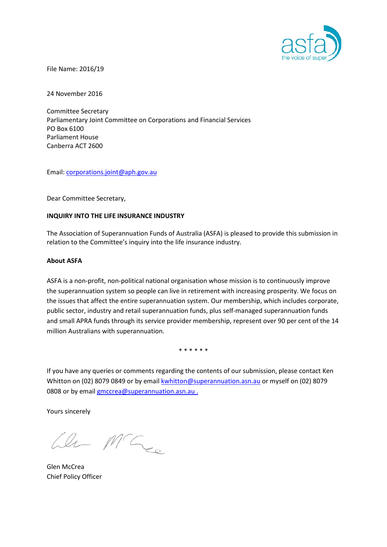

File Name: 2016/19

24 November 2016

Committee Secretary Parliamentary Joint Committee on Corporations and Financial Services PO Box 6100 Parliament House Canberra ACT 2600

Email: [corporations.joint@aph.gov.au](mailto:corporations.joint@aph.gov.au)

Dear Committee Secretary,

## **INQUIRY INTO THE LIFE INSURANCE INDUSTRY**

The Association of Superannuation Funds of Australia (ASFA) is pleased to provide this submission in relation to the Committee's inquiry into the life insurance industry.

#### **About ASFA**

ASFA is a non-profit, non-political national organisation whose mission is to continuously improve the superannuation system so people can live in retirement with increasing prosperity. We focus on the issues that affect the entire superannuation system. Our membership, which includes corporate, public sector, industry and retail superannuation funds, plus self-managed superannuation funds and small APRA funds through its service provider membership, represent over 90 per cent of the 14 million Australians with superannuation.

\* \* \* \* \* \*

If you have any queries or comments regarding the contents of our submission, please contact Ken Whitton on (02) 8079 0849 or by email [kwhitton@superannuation.asn.au](mailto:kwhitton@superannuation.asn.au) or myself on (02) 8079 0808 or by email [gmccrea@superannuation.asn.au](mailto:gmccrea@superannuation.asn.au) .

Yours sincerely

 $ln M C_{ce}$ 

Glen McCrea Chief Policy Officer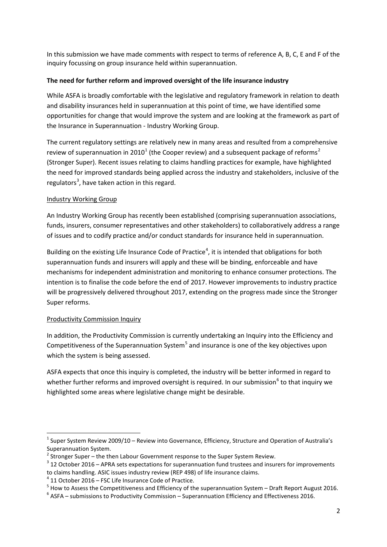In this submission we have made comments with respect to terms of reference A, B, C, E and F of the inquiry focussing on group insurance held within superannuation.

# **The need for further reform and improved oversight of the life insurance industry**

While ASFA is broadly comfortable with the legislative and regulatory framework in relation to death and disability insurances held in superannuation at this point of time, we have identified some opportunities for change that would improve the system and are looking at the framework as part of the Insurance in Superannuation - Industry Working Group.

The current regulatory settings are relatively new in many areas and resulted from a comprehensive review of superannuation in 20[1](#page-1-0)0<sup>1</sup> (the Cooper review) and a subsequent package of reforms<sup>[2](#page-1-1)</sup> (Stronger Super). Recent issues relating to claims handling practices for example, have highlighted the need for improved standards being applied across the industry and stakeholders, inclusive of the regulators<sup>[3](#page-1-2)</sup>, have taken action in this regard.

# Industry Working Group

An Industry Working Group has recently been established (comprising superannuation associations, funds, insurers, consumer representatives and other stakeholders) to collaboratively address a range of issues and to codify practice and/or conduct standards for insurance held in superannuation.

Building on the existing Life Insurance Code of Practice<sup>[4](#page-1-3)</sup>, it is intended that obligations for both superannuation funds and insurers will apply and these will be binding, enforceable and have mechanisms for independent administration and monitoring to enhance consumer protections. The intention is to finalise the code before the end of 2017. However improvements to industry practice will be progressively delivered throughout 2017, extending on the progress made since the Stronger Super reforms.

# Productivity Commission Inquiry

In addition, the Productivity Commission is currently undertaking an Inquiry into the Efficiency and Competitiveness of the Superannuation System<sup>[5](#page-1-4)</sup> and insurance is one of the key objectives upon which the system is being assessed.

ASFA expects that once this inquiry is completed, the industry will be better informed in regard to whether further reforms and improved oversight is required. In our submission<sup>[6](#page-1-5)</sup> to that inquiry we highlighted some areas where legislative change might be desirable.

<span id="page-1-0"></span> $1$  Super System Review 2009/10 – Review into Governance, Efficiency, Structure and Operation of Australia's Superannuation System.<br> $^2$  Stronger Super – the then Labour Government response to the Super System Review.

<span id="page-1-1"></span>

<span id="page-1-2"></span> $3$  12 October 2016 – APRA sets expectations for superannuation fund trustees and insurers for improvements to claims handling. ASIC issues industry review (REP 498) of life insurance claims.

<span id="page-1-4"></span><span id="page-1-3"></span><sup>&</sup>lt;sup>4</sup> 11 October 2016 – FSC Life Insurance Code of Practice.<br><sup>5</sup> How to Assess the Competitiveness and Efficiency of the superannuation System – Draft Report August 2016.<br><sup>6</sup> ASFA – submissions to Productivity Commission –

<span id="page-1-5"></span>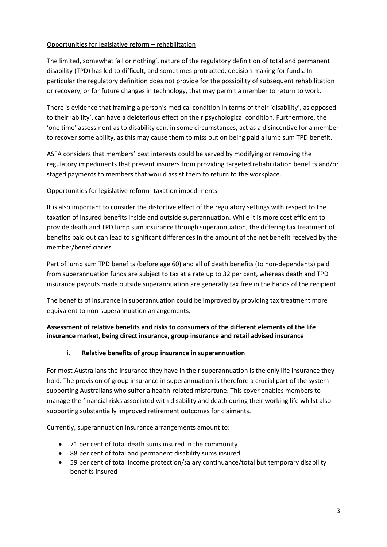# Opportunities for legislative reform – rehabilitation

The limited, somewhat 'all or nothing', nature of the regulatory definition of total and permanent disability (TPD) has led to difficult, and sometimes protracted, decision-making for funds. In particular the regulatory definition does not provide for the possibility of subsequent rehabilitation or recovery, or for future changes in technology, that may permit a member to return to work.

There is evidence that framing a person's medical condition in terms of their 'disability', as opposed to their 'ability', can have a deleterious effect on their psychological condition. Furthermore, the 'one time' assessment as to disability can, in some circumstances, act as a disincentive for a member to recover some ability, as this may cause them to miss out on being paid a lump sum TPD benefit.

ASFA considers that members' best interests could be served by modifying or removing the regulatory impediments that prevent insurers from providing targeted rehabilitation benefits and/or staged payments to members that would assist them to return to the workplace.

# Opportunities for legislative reform -taxation impediments

It is also important to consider the distortive effect of the regulatory settings with respect to the taxation of insured benefits inside and outside superannuation. While it is more cost efficient to provide death and TPD lump sum insurance through superannuation, the differing tax treatment of benefits paid out can lead to significant differences in the amount of the net benefit received by the member/beneficiaries.

Part of lump sum TPD benefits (before age 60) and all of death benefits (to non-dependants) paid from superannuation funds are subject to tax at a rate up to 32 per cent, whereas death and TPD insurance payouts made outside superannuation are generally tax free in the hands of the recipient.

The benefits of insurance in superannuation could be improved by providing tax treatment more equivalent to non-superannuation arrangements.

# **Assessment of relative benefits and risks to consumers of the different elements of the life insurance market, being direct insurance, group insurance and retail advised insurance**

# **i. Relative benefits of group insurance in superannuation**

For most Australians the insurance they have in their superannuation is the only life insurance they hold. The provision of group insurance in superannuation is therefore a crucial part of the system supporting Australians who suffer a health-related misfortune. This cover enables members to manage the financial risks associated with disability and death during their working life whilst also supporting substantially improved retirement outcomes for claimants.

Currently, superannuation insurance arrangements amount to:

- 71 per cent of total death sums insured in the community
- 88 per cent of total and permanent disability sums insured
- 59 per cent of total income protection/salary continuance/total but temporary disability benefits insured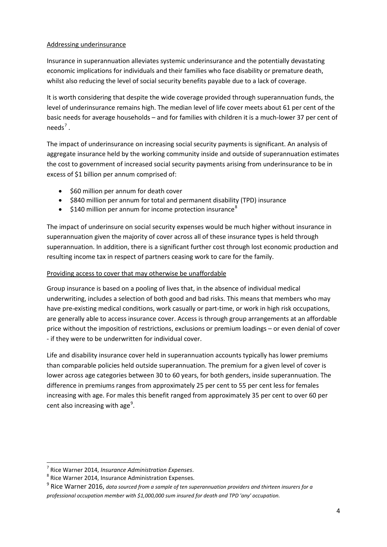## Addressing underinsurance

Insurance in superannuation alleviates systemic underinsurance and the potentially devastating economic implications for individuals and their families who face disability or premature death, whilst also reducing the level of social security benefits payable due to a lack of coverage.

It is worth considering that despite the wide coverage provided through superannuation funds, the level of underinsurance remains high. The median level of life cover meets about 61 per cent of the basic needs for average households – and for families with children it is a much-lower 37 per cent of  $needs^7$  $needs^7$ .

The impact of underinsurance on increasing social security payments is significant. An analysis of aggregate insurance held by the working community inside and outside of superannuation estimates the cost to government of increased social security payments arising from underinsurance to be in excess of \$1 billion per annum comprised of:

- \$60 million per annum for death cover
- \$840 million per annum for total and permanent disability (TPD) insurance
- $$140$  million per annum for income protection insurance<sup>[8](#page-3-1)</sup>

The impact of underinsure on social security expenses would be much higher without insurance in superannuation given the majority of cover across all of these insurance types is held through superannuation. In addition, there is a significant further cost through lost economic production and resulting income tax in respect of partners ceasing work to care for the family.

# Providing access to cover that may otherwise be unaffordable

Group insurance is based on a pooling of lives that, in the absence of individual medical underwriting, includes a selection of both good and bad risks. This means that members who may have pre-existing medical conditions, work casually or part-time, or work in high risk occupations, are generally able to access insurance cover. Access is through group arrangements at an affordable price without the imposition of restrictions, exclusions or premium loadings – or even denial of cover - if they were to be underwritten for individual cover.

Life and disability insurance cover held in superannuation accounts typically has lower premiums than comparable policies held outside superannuation. The premium for a given level of cover is lower across age categories between 30 to 60 years, for both genders, inside superannuation. The difference in premiums ranges from approximately 25 per cent to 55 per cent less for females increasing with age. For males this benefit ranged from approximately 35 per cent to over 60 per cent also increasing with age<sup>[9](#page-3-2)</sup>.

<span id="page-3-0"></span><sup>&</sup>lt;sup>7</sup> Rice Warner 2014, *Insurance Administration Expenses*.<br><sup>8</sup> Rice Warner 2014, Insurance Administration Expenses.

<span id="page-3-2"></span><span id="page-3-1"></span><sup>9</sup> Rice Warner 2016, *data sourced from a sample of ten superannuation providers and thirteen insurers for a* 

*professional occupation member with \$1,000,000 sum insured for death and TPD 'any' occupation.*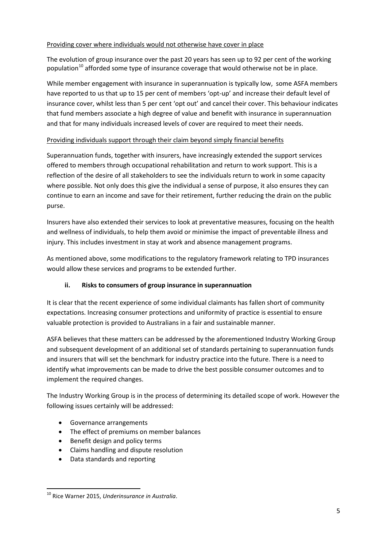## Providing cover where individuals would not otherwise have cover in place

The evolution of group insurance over the past 20 years has seen up to 92 per cent of the working population<sup>[10](#page-4-0)</sup> afforded some type of insurance coverage that would otherwise not be in place.

While member engagement with insurance in superannuation is typically low, some ASFA members have reported to us that up to 15 per cent of members 'opt-up' and increase their default level of insurance cover, whilst less than 5 per cent 'opt out' and cancel their cover. This behaviour indicates that fund members associate a high degree of value and benefit with insurance in superannuation and that for many individuals increased levels of cover are required to meet their needs.

# Providing individuals support through their claim beyond simply financial benefits

Superannuation funds, together with insurers, have increasingly extended the support services offered to members through occupational rehabilitation and return to work support. This is a reflection of the desire of all stakeholders to see the individuals return to work in some capacity where possible. Not only does this give the individual a sense of purpose, it also ensures they can continue to earn an income and save for their retirement, further reducing the drain on the public purse.

Insurers have also extended their services to look at preventative measures, focusing on the health and wellness of individuals, to help them avoid or minimise the impact of preventable illness and injury. This includes investment in stay at work and absence management programs.

As mentioned above, some modifications to the regulatory framework relating to TPD insurances would allow these services and programs to be extended further.

# **ii. Risks to consumers of group insurance in superannuation**

It is clear that the recent experience of some individual claimants has fallen short of community expectations. Increasing consumer protections and uniformity of practice is essential to ensure valuable protection is provided to Australians in a fair and sustainable manner.

ASFA believes that these matters can be addressed by the aforementioned Industry Working Group and subsequent development of an additional set of standards pertaining to superannuation funds and insurers that will set the benchmark for industry practice into the future. There is a need to identify what improvements can be made to drive the best possible consumer outcomes and to implement the required changes.

The Industry Working Group is in the process of determining its detailed scope of work. However the following issues certainly will be addressed:

- Governance arrangements
- The effect of premiums on member balances
- Benefit design and policy terms
- Claims handling and dispute resolution
- Data standards and reporting

<span id="page-4-0"></span> <sup>10</sup> Rice Warner 2015, *Underinsurance in Australia*.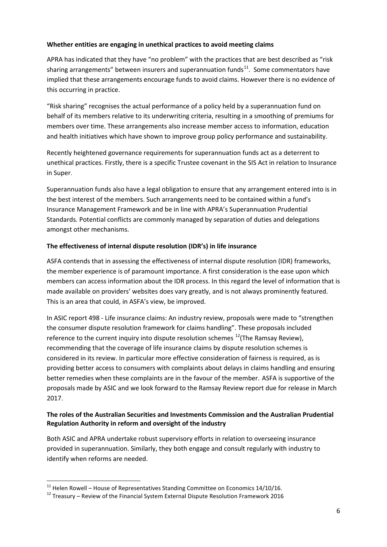# **Whether entities are engaging in unethical practices to avoid meeting claims**

APRA has indicated that they have "no problem" with the practices that are best described as "risk sharing arrangements" between insurers and superannuation funds $11$ . Some commentators have implied that these arrangements encourage funds to avoid claims. However there is no evidence of this occurring in practice.

"Risk sharing" recognises the actual performance of a policy held by a superannuation fund on behalf of its members relative to its underwriting criteria, resulting in a smoothing of premiums for members over time. These arrangements also increase member access to information, education and health initiatives which have shown to improve group policy performance and sustainability.

Recently heightened governance requirements for superannuation funds act as a deterrent to unethical practices. Firstly, there is a specific Trustee covenant in the SIS Act in relation to Insurance in Super.

Superannuation funds also have a legal obligation to ensure that any arrangement entered into is in the best interest of the members. Such arrangements need to be contained within a fund's Insurance Management Framework and be in line with APRA's Superannuation Prudential Standards. Potential conflicts are commonly managed by separation of duties and delegations amongst other mechanisms.

## **The effectiveness of internal dispute resolution (IDR's) in life insurance**

ASFA contends that in assessing the effectiveness of internal dispute resolution (IDR) frameworks, the member experience is of paramount importance. A first consideration is the ease upon which members can access information about the IDR process. In this regard the level of information that is made available on providers' websites does vary greatly, and is not always prominently featured. This is an area that could, in ASFA's view, be improved.

In ASIC report 498 - Life insurance claims: An industry review, proposals were made to "strengthen the consumer dispute resolution framework for claims handling". These proposals included reference to the current inquiry into dispute resolution schemes  $^{12}$  $^{12}$  $^{12}$ (The Ramsay Review), recommending that the coverage of life insurance claims by dispute resolution schemes is considered in its review. In particular more effective consideration of fairness is required, as is providing better access to consumers with complaints about delays in claims handling and ensuring better remedies when these complaints are in the favour of the member. ASFA is supportive of the proposals made by ASIC and we look forward to the Ramsay Review report due for release in March 2017.

# **The roles of the Australian Securities and Investments Commission and the Australian Prudential Regulation Authority in reform and oversight of the industry**

Both ASIC and APRA undertake robust supervisory efforts in relation to overseeing insurance provided in superannuation. Similarly, they both engage and consult regularly with industry to identify when reforms are needed.

<span id="page-5-1"></span><span id="page-5-0"></span><sup>&</sup>lt;sup>11</sup> Helen Rowell – House of Representatives Standing Committee on Economics 14/10/16.<br><sup>12</sup> Treasurv – Review of the Financial System External Dispute Resolution Framework 2016